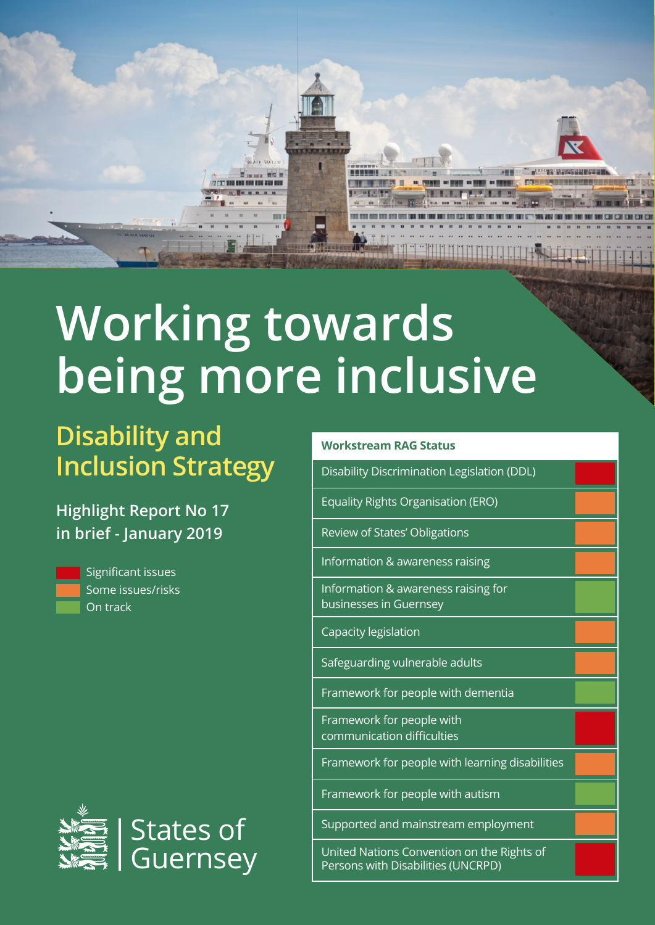

# **Working towards being more inclusive**

## **Disability and Inclusion Strategy**

**Highlight Report No 17 in brief - January 2019**



Significant issues Some issues/risks On track



#### **Workstream RAG Status**

Disability Discrimination Legislation (DDL)

Equality Rights Organisation (ERO)

Review of States' Obligations

Information & awareness raising

Information & awareness raising for businesses in Guernsey

Capacity legislation

Safeguarding vulnerable adults

Framework for people with dementia

Framework for people with communication difficulties

Framework for people with learning disabilities

Framework for people with autism

Supported and mainstream employment

United Nations Convention on the Rights of Persons with Disabilities (UNCRPD)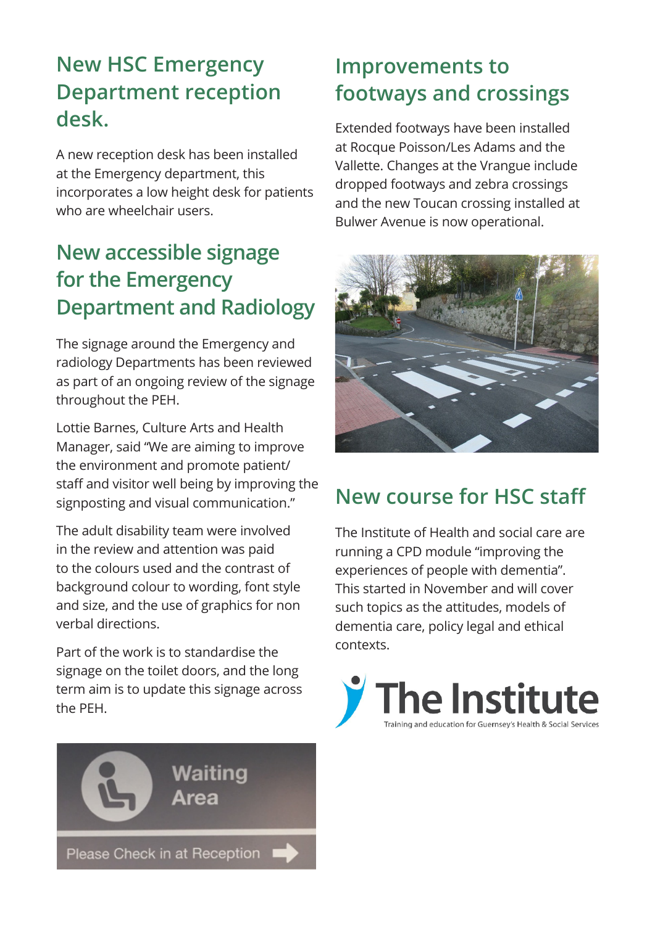#### **New HSC Emergency Department reception desk.**

A new reception desk has been installed at the Emergency department, this incorporates a low height desk for patients who are wheelchair users.

#### **New accessible signage for the Emergency Department and Radiology**

The signage around the Emergency and radiology Departments has been reviewed as part of an ongoing review of the signage throughout the PEH.

Lottie Barnes, Culture Arts and Health Manager, said "We are aiming to improve the environment and promote patient/ staff and visitor well being by improving the signposting and visual communication."

The adult disability team were involved in the review and attention was paid to the colours used and the contrast of background colour to wording, font style and size, and the use of graphics for non verbal directions.

Part of the work is to standardise the signage on the toilet doors, and the long term aim is to update this signage across the PEH.



#### **Improvements to footways and crossings**

Extended footways have been installed at Rocque Poisson/Les Adams and the Vallette. Changes at the Vrangue include dropped footways and zebra crossings and the new Toucan crossing installed at Bulwer Avenue is now operational.



### **New course for HSC staff**

The Institute of Health and social care are running a CPD module "improving the experiences of people with dementia". This started in November and will cover such topics as the attitudes, models of dementia care, policy legal and ethical contexts.

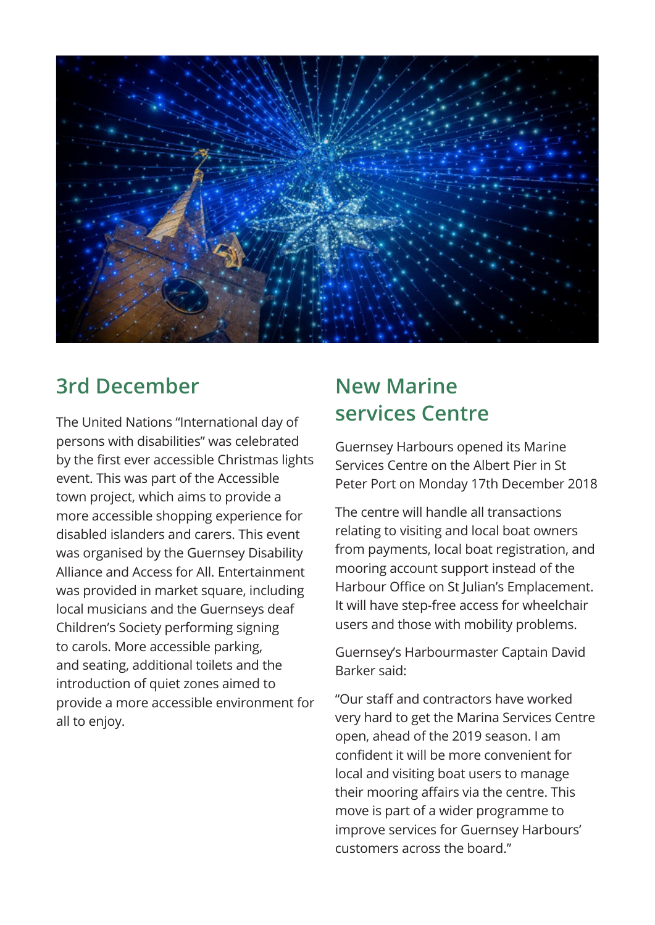

#### **3rd December New Marine**

**services Centre** The United Nations "International day of persons with disabilities" was celebrated by the first ever accessible Christmas lights event. This was part of the Accessible town project, which aims to provide a more accessible shopping experience for disabled islanders and carers. This event was organised by the Guernsey Disability Alliance and Access for All. Entertainment was provided in market square, including local musicians and the Guernseys deaf Children's Society performing signing to carols. More accessible parking, and seating, additional toilets and the introduction of quiet zones aimed to provide a more accessible environment for all to enjoy.

Guernsey Harbours opened its Marine Services Centre on the Albert Pier in St Peter Port on Monday 17th December 2018

The centre will handle all transactions relating to visiting and local boat owners from payments, local boat registration, and mooring account support instead of the Harbour Office on St Julian's Emplacement. It will have step-free access for wheelchair users and those with mobility problems.

Guernsey's Harbourmaster Captain David Barker said:

"Our staff and contractors have worked very hard to get the Marina Services Centre open, ahead of the 2019 season. I am confident it will be more convenient for local and visiting boat users to manage their mooring affairs via the centre. This move is part of a wider programme to improve services for Guernsey Harbours' customers across the board."